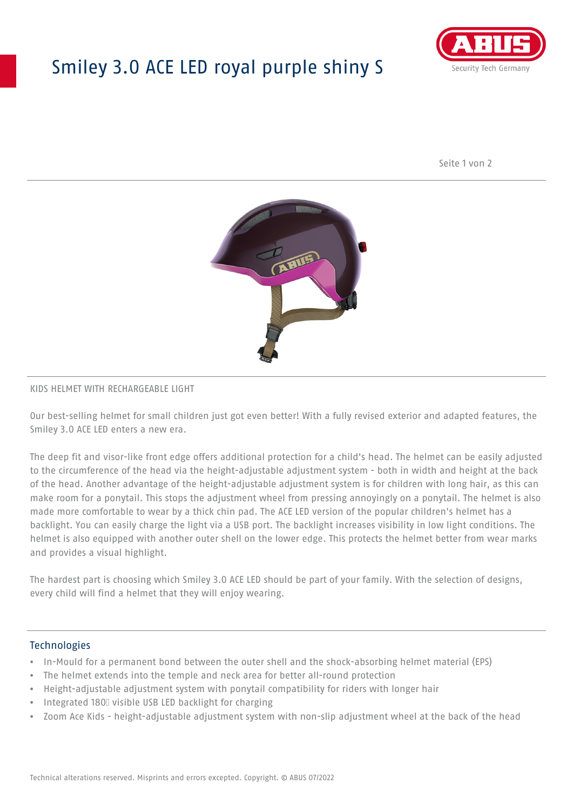# Smiley 3.0 ACE LED royal purple shiny S



Seite 1 von 2



#### KIDS HELMET WITH RECHARGEABLE LIGHT

Our best-selling helmet for small children just got even better! With a fully revised exterior and adapted features, the Smiley 3.0 ACE LED enters a new era.

The deep fit and visor-like front edge offers additional protection for a child's head. The helmet can be easily adjusted to the circumference of the head via the height-adjustable adjustment system - both in width and height at the back of the head. Another advantage of the height-adjustable adjustment system is for children with long hair, as this can make room for a ponytail. This stops the adjustment wheel from pressing annoyingly on a ponytail. The helmet is also made more comfortable to wear by a thick chin pad. The ACE LED version of the popular children's helmet has a backlight. You can easily charge the light via a USB port. The backlight increases visibility in low light conditions. The helmet is also equipped with another outer shell on the lower edge. This protects the helmet better from wear marks and provides a visual highlight.

The hardest part is choosing which Smiley 3.0 ACE LED should be part of your family. With the selection of designs, every child will find a helmet that they will enjoy wearing.

#### **Technologies**

- In-Mould for a permanent bond between the outer shell and the shock-absorbing helmet material (EPS)
- The helmet extends into the temple and neck area for better all-round protection
- Height-adjustable adjustment system with ponytail compatibility for riders with longer hair
- Integrated 180⁰ visible USB LED backlight for charging
- Zoom Ace Kids height-adjustable adjustment system with non-slip adjustment wheel at the back of the head